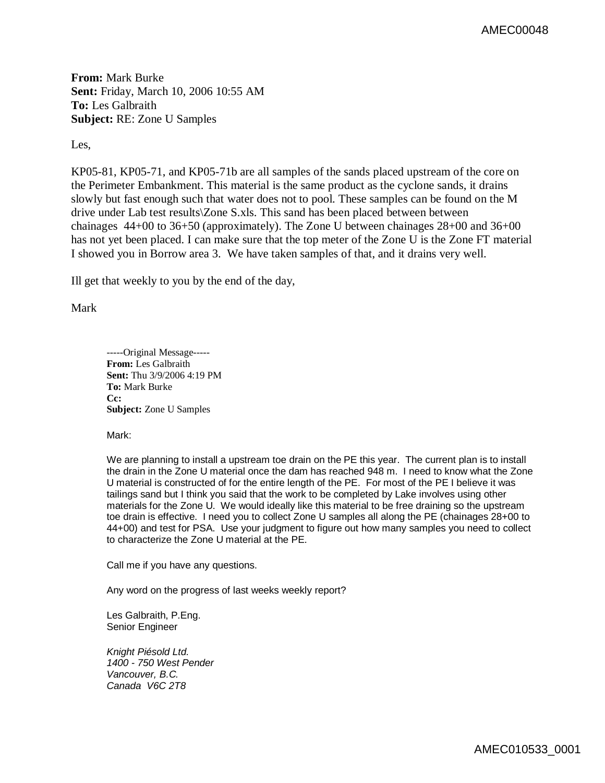**From:** Mark Burke **Sent:** Friday, March 10, 2006 10:55 AM **To:** Les Galbraith **Subject:** RE: Zone U Samples

Les,

KP05-81, KP05-71, and KP05-71b are all samples of the sands placed upstream of the core on the Perimeter Embankment. This material is the same product as the cyclone sands, it drains slowly but fast enough such that water does not to pool. These samples can be found on the M drive under Lab test results\Zone S.xls. This sand has been placed between between chainages 44+00 to 36+50 (approximately). The Zone U between chainages 28+00 and 36+00 has not yet been placed. I can make sure that the top meter of the Zone U is the Zone FT material I showed you in Borrow area 3. We have taken samples of that, and it drains very well.

Ill get that weekly to you by the end of the day,

Mark

-----Original Message----- **From:** Les Galbraith **Sent:** Thu 3/9/2006 4:19 PM **To:** Mark Burke **Cc: Subject:** Zone U Samples

Mark:

We are planning to install a upstream toe drain on the PE this year. The current plan is to install the drain in the Zone U material once the dam has reached 948 m. I need to know what the Zone U material is constructed of for the entire length of the PE. For most of the PE I believe it was tailings sand but I think you said that the work to be completed by Lake involves using other materials for the Zone U. We would ideally like this material to be free draining so the upstream toe drain is effective. I need you to collect Zone U samples all along the PE (chainages 28+00 to 44+00) and test for PSA. Use your judgment to figure out how many samples you need to collect to characterize the Zone U material at the PE.

Call me if you have any questions.

Any word on the progress of last weeks weekly report?

Les Galbraith, P.Eng. Senior Engineer

*Knight Piésold Ltd. 1400 - 750 West Pender Vancouver, B.C. Canada V6C 2T8*